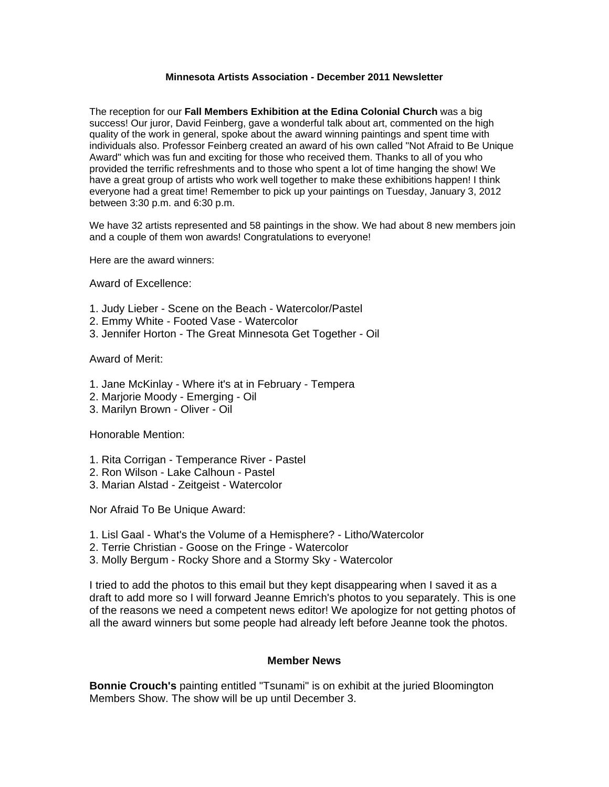## **Minnesota Artists Association - December 2011 Newsletter**

The reception for our **Fall Members Exhibition at the Edina Colonial Church** was a big success! Our juror, David Feinberg, gave a wonderful talk about art, commented on the high quality of the work in general, spoke about the award winning paintings and spent time with individuals also. Professor Feinberg created an award of his own called "Not Afraid to Be Unique Award" which was fun and exciting for those who received them. Thanks to all of you who provided the terrific refreshments and to those who spent a lot of time hanging the show! We have a great group of artists who work well together to make these exhibitions happen! I think everyone had a great time! Remember to pick up your paintings on Tuesday, January 3, 2012 between 3:30 p.m. and 6:30 p.m.

We have 32 artists represented and 58 paintings in the show. We had about 8 new members join and a couple of them won awards! Congratulations to everyone!

Here are the award winners:

Award of Excellence:

- 1. Judy Lieber Scene on the Beach Watercolor/Pastel
- 2. Emmy White Footed Vase Watercolor
- 3. Jennifer Horton The Great Minnesota Get Together Oil

Award of Merit:

- 1. Jane McKinlay Where it's at in February Tempera
- 2. Marjorie Moody Emerging Oil
- 3. Marilyn Brown Oliver Oil

Honorable Mention:

- 1. Rita Corrigan Temperance River Pastel
- 2. Ron Wilson Lake Calhoun Pastel
- 3. Marian Alstad Zeitgeist Watercolor

Nor Afraid To Be Unique Award:

- 1. Lisl Gaal What's the Volume of a Hemisphere? Litho/Watercolor
- 2. Terrie Christian Goose on the Fringe Watercolor
- 3. Molly Bergum Rocky Shore and a Stormy Sky Watercolor

I tried to add the photos to this email but they kept disappearing when I saved it as a draft to add more so I will forward Jeanne Emrich's photos to you separately. This is one of the reasons we need a competent news editor! We apologize for not getting photos of all the award winners but some people had already left before Jeanne took the photos.

## **Member News**

**Bonnie Crouch's** painting entitled "Tsunami" is on exhibit at the juried Bloomington Members Show. The show will be up until December 3.